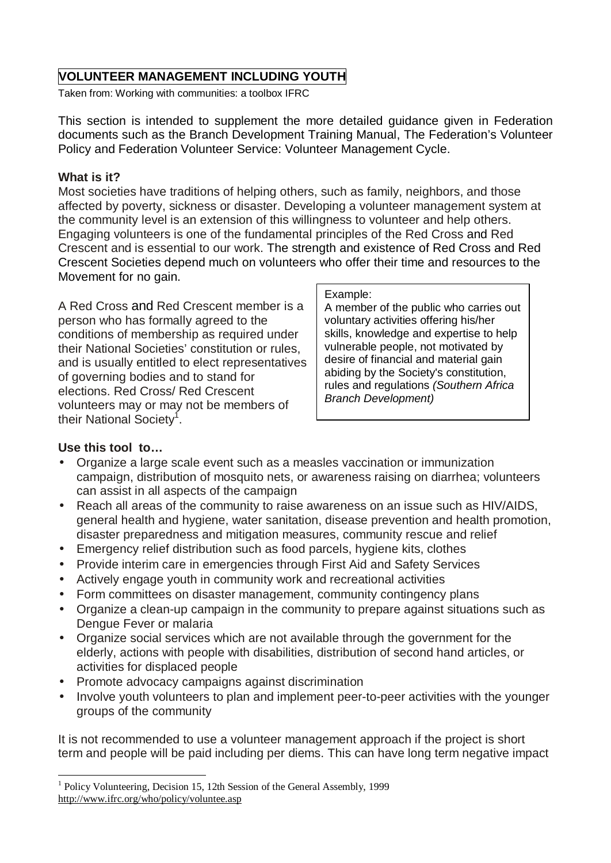# **VOLUNTEER MANAGEMENT INCLUDING YOUTH**

Taken from: Working with communities: a toolbox IFRC

This section is intended to supplement the more detailed guidance given in Federation documents such as the Branch Development Training Manual, The Federation's Volunteer Policy and Federation Volunteer Service: Volunteer Management Cycle.

#### **What is it?**

Most societies have traditions of helping others, such as family, neighbors, and those affected by poverty, sickness or disaster. Developing a volunteer management system at the community level is an extension of this willingness to volunteer and help others. Engaging volunteers is one of the fundamental principles of the Red Cross and Red Crescent and is essential to our work. The strength and existence of Red Cross and Red Crescent Societies depend much on volunteers who offer their time and resources to the Movement for no gain.

A Red Cross and Red Crescent member is a person who has formally agreed to the conditions of membership as required under their National Societies' constitution or rules, and is usually entitled to elect representatives of governing bodies and to stand for elections. Red Cross/ Red Crescent volunteers may or may not be members of their National Society<sup>f</sup>.

#### Example:

A member of the public who carries out voluntary activities offering his/her skills, knowledge and expertise to help vulnerable people, not motivated by desire of financial and material gain abiding by the Society's constitution, rules and regulations *(Southern Africa Branch Development)* 

# **Use this tool to…**

- Organize a large scale event such as a measles vaccination or immunization campaign, distribution of mosquito nets, or awareness raising on diarrhea; volunteers can assist in all aspects of the campaign
- Reach all areas of the community to raise awareness on an issue such as HIV/AIDS, general health and hygiene, water sanitation, disease prevention and health promotion, disaster preparedness and mitigation measures, community rescue and relief
- Emergency relief distribution such as food parcels, hygiene kits, clothes
- Provide interim care in emergencies through First Aid and Safety Services
- Actively engage youth in community work and recreational activities
- Form committees on disaster management, community contingency plans
- Organize a clean-up campaign in the community to prepare against situations such as Dengue Fever or malaria
- Organize social services which are not available through the government for the elderly, actions with people with disabilities, distribution of second hand articles, or activities for displaced people
- Promote advocacy campaigns against discrimination
- Involve youth volunteers to plan and implement peer-to-peer activities with the younger groups of the community

It is not recommended to use a volunteer management approach if the project is short term and people will be paid including per diems. This can have long term negative impact

 1 Policy Volunteering, Decision 15, 12th Session of the General Assembly, 1999 <http://www.ifrc.org/who/policy/voluntee.asp>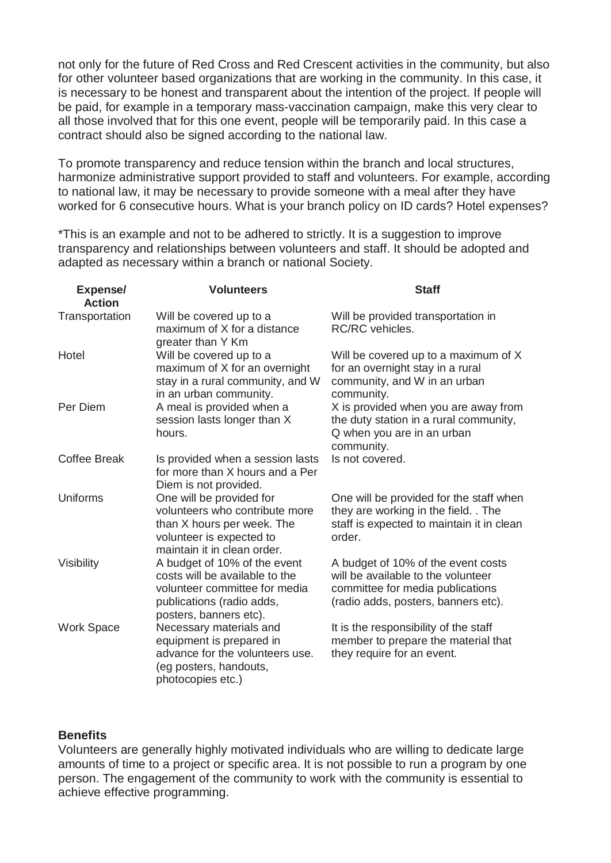not only for the future of Red Cross and Red Crescent activities in the community, but also for other volunteer based organizations that are working in the community. In this case, it is necessary to be honest and transparent about the intention of the project. If people will be paid, for example in a temporary mass-vaccination campaign, make this very clear to all those involved that for this one event, people will be temporarily paid. In this case a contract should also be signed according to the national law.

To promote transparency and reduce tension within the branch and local structures, harmonize administrative support provided to staff and volunteers. For example, according to national law, it may be necessary to provide someone with a meal after they have worked for 6 consecutive hours. What is your branch policy on ID cards? Hotel expenses?

\*This is an example and not to be adhered to strictly. It is a suggestion to improve transparency and relationships between volunteers and staff. It should be adopted and adapted as necessary within a branch or national Society.

| <b>Expense/</b><br><b>Action</b> | <b>Volunteers</b>                                                                                                                                      | <b>Staff</b>                                                                                                                                        |  |  |
|----------------------------------|--------------------------------------------------------------------------------------------------------------------------------------------------------|-----------------------------------------------------------------------------------------------------------------------------------------------------|--|--|
| Transportation                   | Will be covered up to a<br>maximum of X for a distance                                                                                                 | Will be provided transportation in<br><b>RC/RC</b> vehicles.                                                                                        |  |  |
| Hotel                            | greater than Y Km<br>Will be covered up to a                                                                                                           | Will be covered up to a maximum of X                                                                                                                |  |  |
|                                  | maximum of X for an overnight<br>stay in a rural community, and W<br>in an urban community.                                                            | for an overnight stay in a rural<br>community, and W in an urban<br>community.                                                                      |  |  |
| Per Diem                         | A meal is provided when a<br>session lasts longer than X<br>hours.                                                                                     | X is provided when you are away from<br>the duty station in a rural community,<br>Q when you are in an urban<br>community.                          |  |  |
| <b>Coffee Break</b>              | Is provided when a session lasts<br>for more than X hours and a Per<br>Diem is not provided.                                                           | Is not covered.                                                                                                                                     |  |  |
| Uniforms                         | One will be provided for<br>volunteers who contribute more<br>than X hours per week. The<br>volunteer is expected to<br>maintain it in clean order.    | One will be provided for the staff when<br>they are working in the field. . The<br>staff is expected to maintain it in clean<br>order.              |  |  |
| Visibility                       | A budget of 10% of the event<br>costs will be available to the<br>volunteer committee for media<br>publications (radio adds,<br>posters, banners etc). | A budget of 10% of the event costs<br>will be available to the volunteer<br>committee for media publications<br>(radio adds, posters, banners etc). |  |  |
| <b>Work Space</b>                | Necessary materials and<br>equipment is prepared in<br>advance for the volunteers use.<br>(eg posters, handouts,<br>photocopies etc.)                  | It is the responsibility of the staff<br>member to prepare the material that<br>they require for an event.                                          |  |  |

#### **Benefits**

Volunteers are generally highly motivated individuals who are willing to dedicate large amounts of time to a project or specific area. It is not possible to run a program by one person. The engagement of the community to work with the community is essential to achieve effective programming.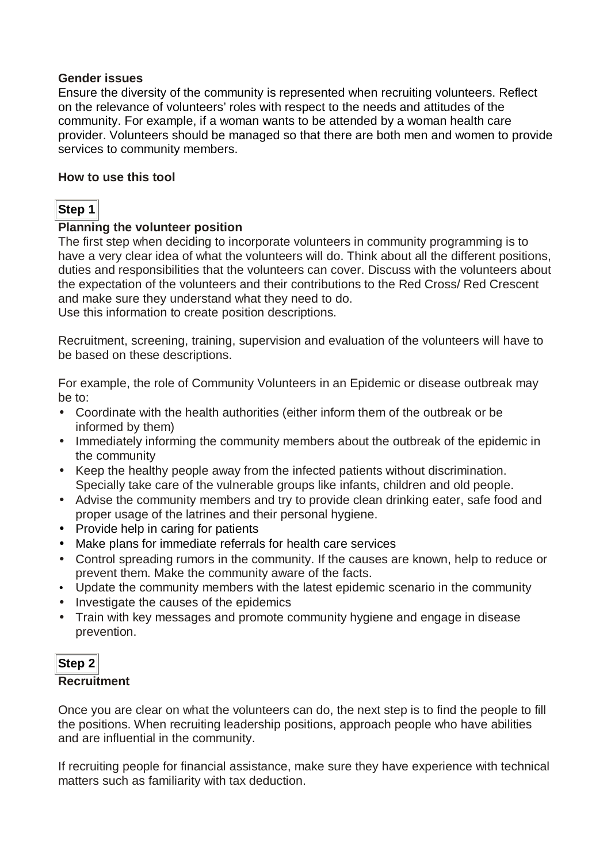### **Gender issues**

Ensure the diversity of the community is represented when recruiting volunteers. Reflect on the relevance of volunteers' roles with respect to the needs and attitudes of the community. For example, if a woman wants to be attended by a woman health care provider. Volunteers should be managed so that there are both men and women to provide services to community members.

### **How to use this tool**

# **Step 1**

# **Planning the volunteer position**

The first step when deciding to incorporate volunteers in community programming is to have a very clear idea of what the volunteers will do. Think about all the different positions, duties and responsibilities that the volunteers can cover. Discuss with the volunteers about the expectation of the volunteers and their contributions to the Red Cross/ Red Crescent and make sure they understand what they need to do.

Use this information to create position descriptions.

Recruitment, screening, training, supervision and evaluation of the volunteers will have to be based on these descriptions.

For example, the role of Community Volunteers in an Epidemic or disease outbreak may be to:

- Coordinate with the health authorities (either inform them of the outbreak or be informed by them)
- Immediately informing the community members about the outbreak of the epidemic in the community
- Keep the healthy people away from the infected patients without discrimination. Specially take care of the vulnerable groups like infants, children and old people.
- Advise the community members and try to provide clean drinking eater, safe food and proper usage of the latrines and their personal hygiene.
- Provide help in caring for patients
- Make plans for immediate referrals for health care services
- Control spreading rumors in the community. If the causes are known, help to reduce or prevent them. Make the community aware of the facts.
- Update the community members with the latest epidemic scenario in the community
- Investigate the causes of the epidemics
- Train with key messages and promote community hygiene and engage in disease prevention.

# **Step 2 Recruitment**

Once you are clear on what the volunteers can do, the next step is to find the people to fill the positions. When recruiting leadership positions, approach people who have abilities and are influential in the community.

If recruiting people for financial assistance, make sure they have experience with technical matters such as familiarity with tax deduction.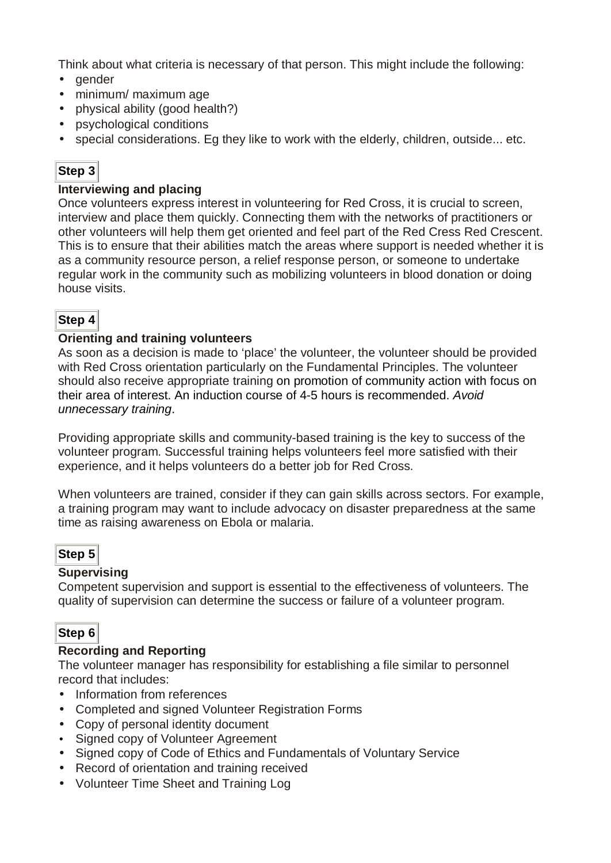Think about what criteria is necessary of that person. This might include the following:

- gender
- minimum/ maximum age
- physical ability (good health?)
- psychological conditions
- special considerations. Eq they like to work with the elderly, children, outside... etc.

# **Step 3**

### **Interviewing and placing**

Once volunteers express interest in volunteering for Red Cross, it is crucial to screen, interview and place them quickly. Connecting them with the networks of practitioners or other volunteers will help them get oriented and feel part of the Red Cress Red Crescent. This is to ensure that their abilities match the areas where support is needed whether it is as a community resource person, a relief response person, or someone to undertake regular work in the community such as mobilizing volunteers in blood donation or doing house visits.

# **Step 4**

#### **Orienting and training volunteers**

As soon as a decision is made to 'place' the volunteer, the volunteer should be provided with Red Cross orientation particularly on the Fundamental Principles. The volunteer should also receive appropriate training on promotion of community action with focus on their area of interest. An induction course of 4-5 hours is recommended. *Avoid unnecessary training*.

Providing appropriate skills and community-based training is the key to success of the volunteer program. Successful training helps volunteers feel more satisfied with their experience, and it helps volunteers do a better job for Red Cross.

When volunteers are trained, consider if they can gain skills across sectors. For example, a training program may want to include advocacy on disaster preparedness at the same time as raising awareness on Ebola or malaria.

# **Step 5**

#### **Supervising**

Competent supervision and support is essential to the effectiveness of volunteers. The quality of supervision can determine the success or failure of a volunteer program.

# **Step 6**

# **Recording and Reporting**

The volunteer manager has responsibility for establishing a file similar to personnel record that includes:

- Information from references
- Completed and signed Volunteer Registration Forms
- Copy of personal identity document
- Signed copy of Volunteer Agreement
- Signed copy of Code of Ethics and Fundamentals of Voluntary Service
- Record of orientation and training received
- Volunteer Time Sheet and Training Log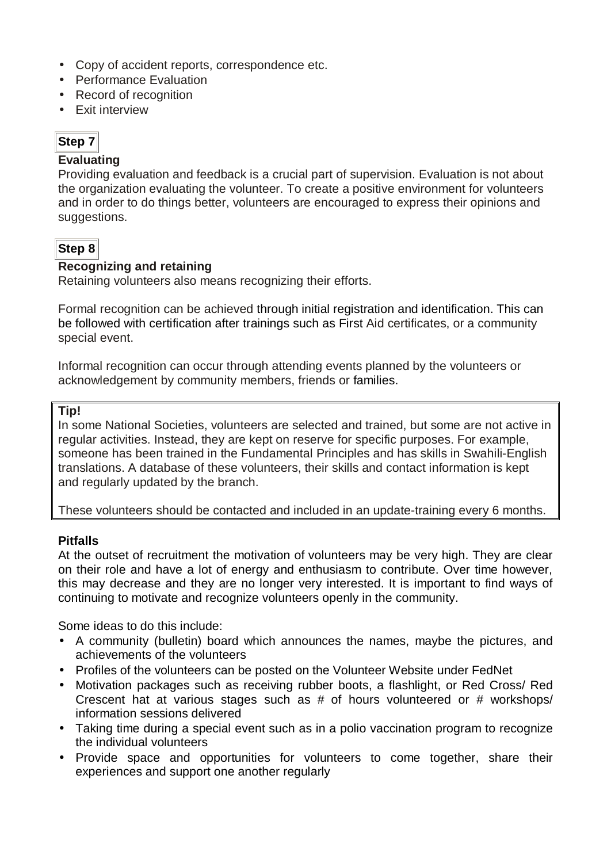- Copy of accident reports, correspondence etc.
- Performance Evaluation
- Record of recognition
- Exit interview

# **Step 7**

### **Evaluating**

Providing evaluation and feedback is a crucial part of supervision. Evaluation is not about the organization evaluating the volunteer. To create a positive environment for volunteers and in order to do things better, volunteers are encouraged to express their opinions and suggestions.

# **Step 8**

# **Recognizing and retaining**

Retaining volunteers also means recognizing their efforts.

Formal recognition can be achieved through initial registration and identification. This can be followed with certification after trainings such as First Aid certificates, or a community special event.

Informal recognition can occur through attending events planned by the volunteers or acknowledgement by community members, friends or families.

### **Tip!**

In some National Societies, volunteers are selected and trained, but some are not active in regular activities. Instead, they are kept on reserve for specific purposes. For example, someone has been trained in the Fundamental Principles and has skills in Swahili-English translations. A database of these volunteers, their skills and contact information is kept and regularly updated by the branch.

These volunteers should be contacted and included in an update-training every 6 months.

# **Pitfalls**

At the outset of recruitment the motivation of volunteers may be very high. They are clear on their role and have a lot of energy and enthusiasm to contribute. Over time however, this may decrease and they are no longer very interested. It is important to find ways of continuing to motivate and recognize volunteers openly in the community.

Some ideas to do this include:

- A community (bulletin) board which announces the names, maybe the pictures, and achievements of the volunteers
- Profiles of the volunteers can be posted on the Volunteer Website under FedNet
- Motivation packages such as receiving rubber boots, a flashlight, or Red Cross/ Red Crescent hat at various stages such as # of hours volunteered or # workshops/ information sessions delivered
- Taking time during a special event such as in a polio vaccination program to recognize the individual volunteers
- Provide space and opportunities for volunteers to come together, share their experiences and support one another regularly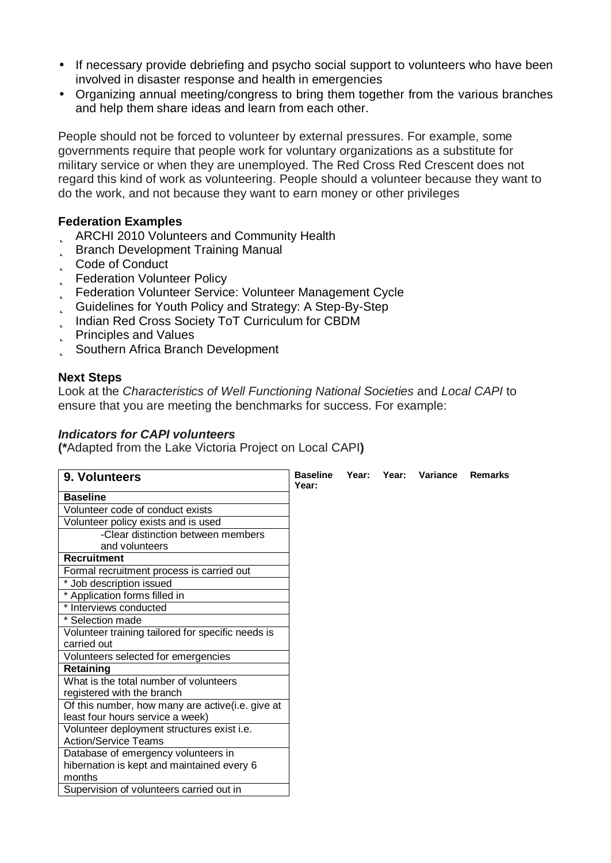- If necessary provide debriefing and psycho social support to volunteers who have been involved in disaster response and health in emergencies
- Organizing annual meeting/congress to bring them together from the various branches and help them share ideas and learn from each other.

People should not be forced to volunteer by external pressures. For example, some governments require that people work for voluntary organizations as a substitute for military service or when they are unemployed. The Red Cross Red Crescent does not regard this kind of work as volunteering. People should a volunteer because they want to do the work, and not because they want to earn money or other privileges

### **Federation Examples**

- þ ARCHI 2010 Volunteers and Community Health
- **b** Branch Development Training Manual
- þ Code of Conduct
- **b** Federation Volunteer Policy
- þ Federation Volunteer Service: Volunteer Management Cycle
- þ Guidelines for Youth Policy and Strategy: A Step-By-Step
- þ Indian Red Cross Society ToT Curriculum for CBDM
- þ Principles and Values
- þ Southern Africa Branch Development

#### **Next Steps**

Look at the *Characteristics of Well Functioning National Societies* and *Local CAPI* to ensure that you are meeting the benchmarks for success. For example:

#### *Indicators for CAPI volunteers*

**(\***Adapted from the Lake Victoria Project on Local CAPI**)** 

| 9. Volunteers                                     | <b>Baseline</b><br>Year: | Year: | Year: | Variance | <b>Remarks</b> |
|---------------------------------------------------|--------------------------|-------|-------|----------|----------------|
| <b>Baseline</b>                                   |                          |       |       |          |                |
| Volunteer code of conduct exists                  |                          |       |       |          |                |
| Volunteer policy exists and is used               |                          |       |       |          |                |
| -Clear distinction between members                |                          |       |       |          |                |
| and volunteers                                    |                          |       |       |          |                |
| <b>Recruitment</b>                                |                          |       |       |          |                |
| Formal recruitment process is carried out         |                          |       |       |          |                |
| * Job description issued                          |                          |       |       |          |                |
| * Application forms filled in                     |                          |       |       |          |                |
| * Interviews conducted                            |                          |       |       |          |                |
| * Selection made                                  |                          |       |       |          |                |
| Volunteer training tailored for specific needs is |                          |       |       |          |                |
| carried out                                       |                          |       |       |          |                |
| Volunteers selected for emergencies               |                          |       |       |          |                |
| Retaining                                         |                          |       |       |          |                |
| What is the total number of volunteers            |                          |       |       |          |                |
| registered with the branch                        |                          |       |       |          |                |
| Of this number, how many are active(i.e. give at  |                          |       |       |          |                |
| least four hours service a week)                  |                          |       |       |          |                |
| Volunteer deployment structures exist i.e.        |                          |       |       |          |                |
| <b>Action/Service Teams</b>                       |                          |       |       |          |                |
| Database of emergency volunteers in               |                          |       |       |          |                |
| hibernation is kept and maintained every 6        |                          |       |       |          |                |
| months                                            |                          |       |       |          |                |
| Supervision of volunteers carried out in          |                          |       |       |          |                |